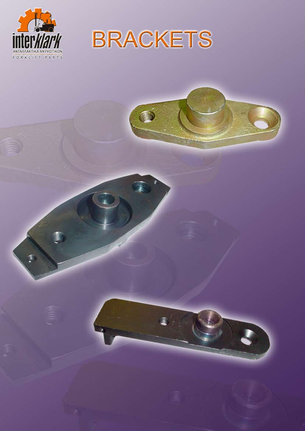

ē

E.

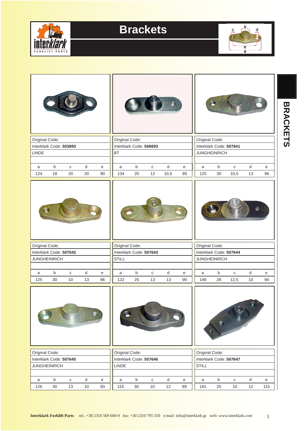

## **Brackets**



| Original Code:                            |             |              |              |    | Original Code: |                         |              |           |    | Original Code:                            |             |              |           |    |  |
|-------------------------------------------|-------------|--------------|--------------|----|----------------|-------------------------|--------------|-----------|----|-------------------------------------------|-------------|--------------|-----------|----|--|
| Interklark Code: 503893                   |             |              |              |    |                | Interklark Code: 506693 |              |           |    | Interklark Code: 507641                   |             |              |           |    |  |
| LINDE                                     |             |              |              |    | BT             |                         |              |           |    | <b>JUNGHEINRICH</b>                       |             |              |           |    |  |
|                                           |             |              |              |    |                |                         |              |           |    |                                           |             |              |           |    |  |
| a                                         | $\sf b$     | $\mathtt{C}$ | $\mathsf d$  | e  | a              | $\sf b$                 | $\mathtt{C}$ | ${\sf d}$ | е  | a                                         | $\mathsf b$ | $\mathtt{C}$ | ${\sf d}$ | e  |  |
| 124                                       | 18          | 20           | 20           | 90 | 134            | 20                      | 12           | 10,5      | 89 | 125                                       | 30          | 10,5         | 13        | 96 |  |
|                                           |             |              |              |    |                |                         |              |           |    |                                           |             |              |           |    |  |
| Original Code:                            |             |              |              |    |                |                         |              |           |    |                                           |             |              |           |    |  |
|                                           |             |              |              |    |                |                         |              |           |    |                                           |             |              |           |    |  |
| Interklark Code: 507642                   |             |              |              |    | Original Code: | Interklark Code: 507643 |              |           |    | Original Code:<br>Interklark Code: 507644 |             |              |           |    |  |
| <b>JUNGHEINRICH</b>                       |             |              |              |    | <b>STILL</b>   |                         |              |           |    | <b>JUNGHEINRICH</b>                       |             |              |           |    |  |
|                                           |             |              |              |    |                |                         |              |           |    |                                           |             |              |           |    |  |
| a                                         | $\mathsf b$ | ${\bf C}$    | $\mathsf{d}$ | e  | a              | $\mathsf b$             | $\mathtt{C}$ | $\sf d$   | е  | a                                         | $\mathsf b$ | $\mathtt{C}$ | d         | e  |  |
| 125                                       | 30          | 10           | 13           | 96 | 122            | 25                      | 13           | 13        | 90 | 146                                       | 28          | 12,5         | 10        | 94 |  |
|                                           |             |              |              |    |                |                         |              |           |    |                                           |             |              |           |    |  |
|                                           |             |              |              |    |                |                         |              |           |    |                                           |             |              |           |    |  |
| Original Code:<br>Interklark Code: 507645 |             |              |              |    | Original Code: | Interklark Code: 507646 |              |           |    | Original Code:<br>Interklark Code: 507647 |             |              |           |    |  |
| <b>JUNGHEINRICH</b>                       |             |              |              |    | LINDE          |                         |              |           |    | <b>STILL</b>                              |             |              |           |    |  |
|                                           | $\sf b$     | $\mathtt{C}$ | d            |    |                | $\sf b$                 |              | ${\sf d}$ |    |                                           | $\mathsf b$ | $\mathbf{C}$ | d         |    |  |